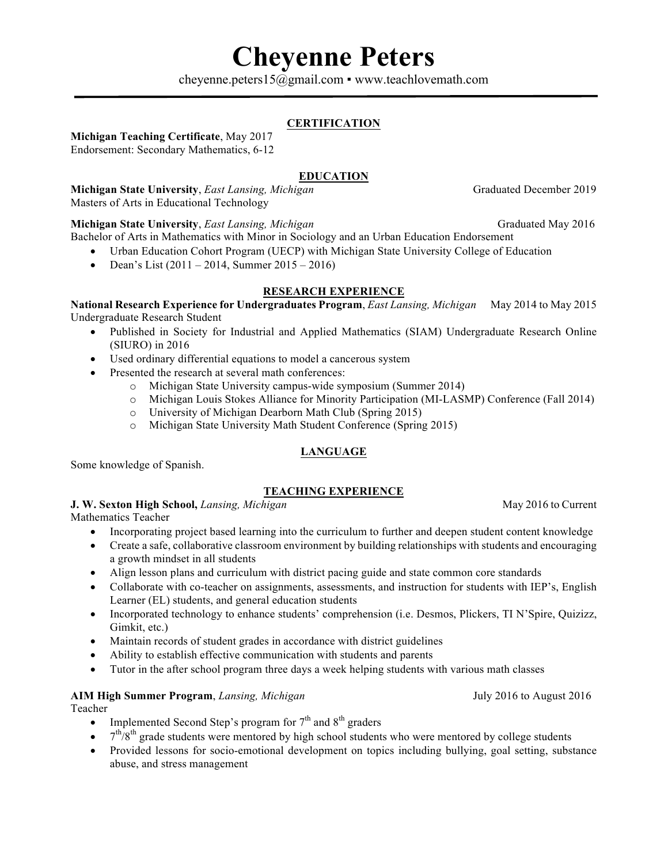# **Cheyenne Peters**

cheyenne.peters15@gmail.com · www.teachlovemath.com

## **CERTIFICATION**

### **Michigan Teaching Certificate**, May 2017

Endorsement: Secondary Mathematics, 6-12

### **EDUCATION**

**Michigan State University**, *East Lansing, Michigan* Graduated December 2019 Masters of Arts in Educational Technology

### **Michigan State University**, *East Lansing, Michigan* Graduated May 2016

Bachelor of Arts in Mathematics with Minor in Sociology and an Urban Education Endorsement

- Urban Education Cohort Program (UECP) with Michigan State University College of Education
- Dean's List (2011 2014, Summer 2015 2016)

## **RESEARCH EXPERIENCE**

**National Research Experience for Undergraduates Program**, *East Lansing, Michigan* May 2014 to May 2015 Undergraduate Research Student

- Published in Society for Industrial and Applied Mathematics (SIAM) Undergraduate Research Online (SIURO) in 2016
- Used ordinary differential equations to model a cancerous system
- Presented the research at several math conferences:
	- o Michigan State University campus-wide symposium (Summer 2014)
	- o Michigan Louis Stokes Alliance for Minority Participation (MI-LASMP) Conference (Fall 2014)
	- o University of Michigan Dearborn Math Club (Spring 2015)
	- o Michigan State University Math Student Conference (Spring 2015)

## **LANGUAGE**

Some knowledge of Spanish.

## **TEACHING EXPERIENCE**

**J. W. Sexton High School,** *Lansing, Michigan* May 2016 to Current

Mathematics Teacher

- Incorporating project based learning into the curriculum to further and deepen student content knowledge
- Create a safe, collaborative classroom environment by building relationships with students and encouraging a growth mindset in all students
- Align lesson plans and curriculum with district pacing guide and state common core standards
- Collaborate with co-teacher on assignments, assessments, and instruction for students with IEP's, English Learner (EL) students, and general education students
- Incorporated technology to enhance students' comprehension (i.e. Desmos, Plickers, TI N'Spire, Quizizz, Gimkit, etc.)
- Maintain records of student grades in accordance with district guidelines
- Ability to establish effective communication with students and parents
- Tutor in the after school program three days a week helping students with various math classes

### **AIM High Summer Program**, *Lansing, Michigan* July 2016 to August 2016

Teacher

- Implemented Second Step's program for  $7<sup>th</sup>$  and  $8<sup>th</sup>$  graders
- $7<sup>th</sup>/8<sup>th</sup>$  grade students were mentored by high school students who were mentored by college students
- Provided lessons for socio-emotional development on topics including bullying, goal setting, substance abuse, and stress management